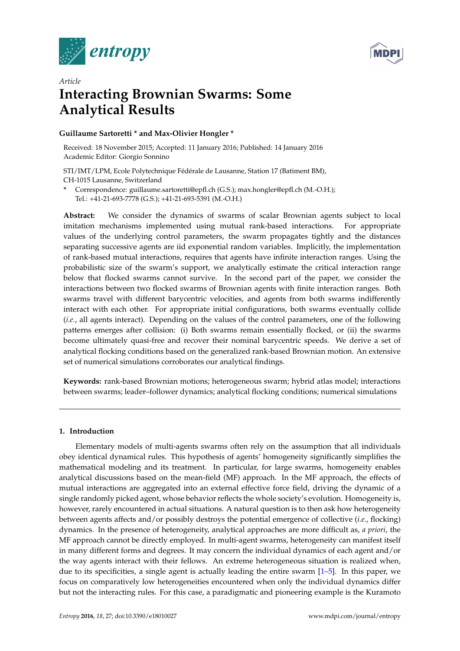



# *Article* **Interacting Brownian Swarms: Some Analytical Results**

# **Guillaume Sartoretti \* and Max-Olivier Hongler \***

Received: 18 November 2015; Accepted: 11 January 2016; Published: 14 January 2016 Academic Editor: Giorgio Sonnino

STI/IMT/LPM, Ecole Polytechnique Fédérale de Lausanne, Station 17 (Batiment BM), CH-1015 Lausanne, Switzerland

**\*** Correspondence: guillaume.sartoretti@epfl.ch (G.S.); max.hongler@epfl.ch (M.-O.H.); Tel.: +41-21-693-7778 (G.S.); +41-21-693-5391 (M.-O.H.)

**Abstract:** We consider the dynamics of swarms of scalar Brownian agents subject to local imitation mechanisms implemented using mutual rank-based interactions. For appropriate values of the underlying control parameters, the swarm propagates tightly and the distances separating successive agents are iid exponential random variables. Implicitly, the implementation of rank-based mutual interactions, requires that agents have infinite interaction ranges. Using the probabilistic size of the swarm's support, we analytically estimate the critical interaction range below that flocked swarms cannot survive. In the second part of the paper, we consider the interactions between two flocked swarms of Brownian agents with finite interaction ranges. Both swarms travel with different barycentric velocities, and agents from both swarms indifferently interact with each other. For appropriate initial configurations, both swarms eventually collide (*i.e.*, all agents interact). Depending on the values of the control parameters, one of the following patterns emerges after collision: (i) Both swarms remain essentially flocked, or (ii) the swarms become ultimately quasi-free and recover their nominal barycentric speeds. We derive a set of analytical flocking conditions based on the generalized rank-based Brownian motion. An extensive set of numerical simulations corroborates our analytical findings.

**Keywords:** rank-based Brownian motions; heterogeneous swarm; hybrid atlas model; interactions between swarms; leader–follower dynamics; analytical flocking conditions; numerical simulations

## **1. Introduction**

Elementary models of multi-agents swarms often rely on the assumption that all individuals obey identical dynamical rules. This hypothesis of agents' homogeneity significantly simplifies the mathematical modeling and its treatment. In particular, for large swarms, homogeneity enables analytical discussions based on the mean-field (MF) approach. In the MF approach, the effects of mutual interactions are aggregated into an external effective force field, driving the dynamic of a single randomly picked agent, whose behavior reflects the whole society's evolution. Homogeneity is, however, rarely encountered in actual situations. A natural question is to then ask how heterogeneity between agents affects and/or possibly destroys the potential emergence of collective (*i.e.*, flocking) dynamics. In the presence of heterogeneity, analytical approaches are more difficult as, *a priori*, the MF approach cannot be directly employed. In multi-agent swarms, heterogeneity can manifest itself in many different forms and degrees. It may concern the individual dynamics of each agent and/or the way agents interact with their fellows. An extreme heterogeneous situation is realized when, due to its specificities, a single agent is actually leading the entire swarm  $[1–5]$  $[1–5]$ . In this paper, we focus on comparatively low heterogeneities encountered when only the individual dynamics differ but not the interacting rules. For this case, a paradigmatic and pioneering example is the Kuramoto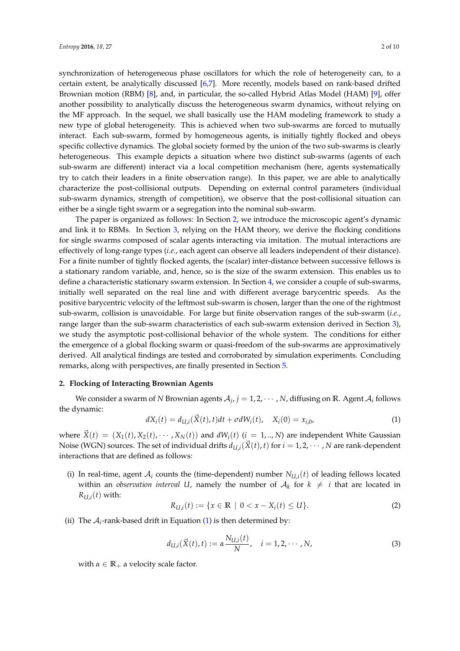synchronization of heterogeneous phase oscillators for which the role of heterogeneity can, to a certain extent, be analytically discussed [\[6,](#page-9-2)[7\]](#page-9-3). More recently, models based on rank-based drifted Brownian motion (RBM) [\[8\]](#page-9-4), and, in particular, the so-called Hybrid Atlas Model (HAM) [\[9\]](#page-9-5), offer another possibility to analytically discuss the heterogeneous swarm dynamics, without relying on the MF approach. In the sequel, we shall basically use the HAM modeling framework to study a new type of global heterogeneity. This is achieved when two sub-swarms are forced to mutually interact. Each sub-swarm, formed by homogeneous agents, is initially tightly flocked and obeys specific collective dynamics. The global society formed by the union of the two sub-swarms is clearly heterogeneous. This example depicts a situation where two distinct sub-swarms (agents of each sub-swarm are different) interact via a local competition mechanism (here, agents systematically try to catch their leaders in a finite observation range). In this paper, we are able to analytically characterize the post-collisional outputs. Depending on external control parameters (individual sub-swarm dynamics, strength of competition), we observe that the post-collisional situation can either be a single tight swarm or a segregation into the nominal sub-swarm.

The paper is organized as follows: In Section [2,](#page-1-0) we introduce the microscopic agent's dynamic and link it to RBMs. In Section [3,](#page-3-0) relying on the HAM theory, we derive the flocking conditions for single swarms composed of scalar agents interacting via imitation. The mutual interactions are effectively of long-range types (*i.e.*, each agent can observe all leaders independent of their distance). For a finite number of tightly flocked agents, the (scalar) inter-distance between successive fellows is a stationary random variable, and, hence, so is the size of the swarm extension. This enables us to define a characteristic stationary swarm extension. In Section [4,](#page-4-0) we consider a couple of sub-swarms, initially well separated on the real line and with different average barycentric speeds. As the positive barycentric velocity of the leftmost sub-swarm is chosen, larger than the one of the rightmost sub-swarm, collision is unavoidable. For large but finite observation ranges of the sub-swarm (*i.e.*, range larger than the sub-swarm characteristics of each sub-swarm extension derived in Section [3\)](#page-3-0), we study the asymptotic post-collisional behavior of the whole system. The conditions for either the emergence of a global flocking swarm or quasi-freedom of the sub-swarms are approximatively derived. All analytical findings are tested and corroborated by simulation experiments. Concluding remarks, along with perspectives, are finally presented in Section [5.](#page-8-0)

## <span id="page-1-0"></span>**2. Flocking of Interacting Brownian Agents**

We consider a swarm of  $N$  Brownian agents  $\mathcal{A}_j$ ,  $j=1,2,\cdots,N$ , diffusing on  $\mathbb{R}$ . Agent  $\mathcal{A}_i$  follows the dynamic:

<span id="page-1-1"></span>
$$
dX_i(t) = d_{U,i}(\vec{X}(t), t)dt + \sigma dW_i(t), \quad X_i(0) = x_{i,0}, \tag{1}
$$

where  $\vec{X}(t) = (X_1(t), X_2(t), \cdots, X_N(t))$  and  $dW_i(t)$  ( $i = 1, ..., N$ ) are independent White Gaussian Noise (WGN) sources. The set of individual drifts  $d_{U,i}(\vec{X}(t), t)$  for  $i = 1, 2, \cdots, N$  are rank-dependent interactions that are defined as follows:

(i) In real-time, agent  $A_i$  counts the (time-dependent) number  $N_{U,i}(t)$  of leading fellows located within an *observation interval U*, namely the number of  $\mathcal{A}_k$  for  $k~\neq~i$  that are located in  $R_{U,i}(t)$  with:

$$
R_{U,i}(t) := \{ x \in \mathbb{R} \mid 0 < x - X_i(t) \le U \}. \tag{2}
$$

(ii) The  $A_i$ -rank-based drift in Equation [\(1\)](#page-1-1) is then determined by:

<span id="page-1-2"></span>
$$
d_{U,i}(\vec{X}(t),t) := \alpha \frac{N_{U,i}(t)}{N}, \quad i = 1,2,\cdots,N,
$$
 (3)

with  $\alpha \in \mathbb{R}_+$  a velocity scale factor.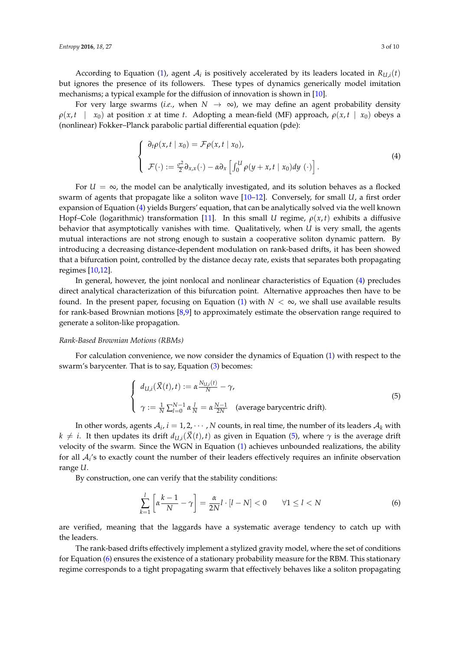According to Equation [\(1\)](#page-1-1), agent  $A_i$  is positively accelerated by its leaders located in  $R_{U,i}(t)$ but ignores the presence of its followers. These types of dynamics generically model imitation mechanisms; a typical example for the diffusion of innovation is shown in [\[10\]](#page-9-6).

For very large swarms (*i.e.*, when  $N \to \infty$ ), we may define an agent probability density  $\rho(x, t \mid x_0)$  at position *x* at time *t*. Adopting a mean-field (MF) approach,  $\rho(x, t \mid x_0)$  obeys a (nonlinear) Fokker–Planck parabolic partial differential equation (pde):

<span id="page-2-0"></span>
$$
\begin{cases}\n\partial_t \rho(x, t \mid x_0) = \mathcal{F} \rho(x, t \mid x_0), \\
\mathcal{F}(\cdot) := \frac{\sigma^2}{2} \partial_{x, x}(\cdot) - \alpha \partial_x \left[ \int_0^U \rho(y + x, t \mid x_0) dy(\cdot) \right].\n\end{cases} \tag{4}
$$

For  $U = \infty$ , the model can be analytically investigated, and its solution behaves as a flocked swarm of agents that propagate like a soliton wave [\[10](#page-9-6)[–12\]](#page-9-7). Conversely, for small *U*, a first order expansion of Equation [\(4\)](#page-2-0) yields Burgers' equation, that can be analytically solved via the well known Hopf–Cole (logarithmic) transformation [\[11\]](#page-9-8). In this small *U* regime,  $\rho(x,t)$  exhibits a diffusive behavior that asymptotically vanishes with time. Qualitatively, when *U* is very small, the agents mutual interactions are not strong enough to sustain a cooperative soliton dynamic pattern. By introducing a decreasing distance-dependent modulation on rank-based drifts, it has been showed that a bifurcation point, controlled by the distance decay rate, exists that separates both propagating regimes [\[10,](#page-9-6)[12\]](#page-9-7).

In general, however, the joint nonlocal and nonlinear characteristics of Equation [\(4\)](#page-2-0) precludes direct analytical characterization of this bifurcation point. Alternative approaches then have to be found. In the present paper, focusing on Equation [\(1\)](#page-1-1) with  $N < \infty$ , we shall use available results for rank-based Brownian motions [\[8](#page-9-4)[,9\]](#page-9-5) to approximately estimate the observation range required to generate a soliton-like propagation.

#### *Rank-Based Brownian Motions (RBMs)*

For calculation convenience, we now consider the dynamics of Equation [\(1\)](#page-1-1) with respect to the swarm's barycenter. That is to say, Equation [\(3\)](#page-1-2) becomes:

<span id="page-2-1"></span>
$$
\begin{cases}\n d_{U,i}(\vec{X}(t),t) := \alpha \frac{N_{U,i}(t)}{N} - \gamma, \\
 \gamma := \frac{1}{N} \sum_{l=0}^{N-1} \alpha \frac{l}{N} = \alpha \frac{N-1}{2N} \quad \text{(average barycentric drift)}.\n\end{cases}
$$
\n(5)

In other words, agents  $\mathcal{A}_i$ ,  $i = 1, 2, \cdots, N$  counts, in real time, the number of its leaders  $\mathcal{A}_k$  with  $k \neq i$ . It then updates its drift  $d_{U,i}(\vec{X}(t), t)$  as given in Equation [\(5\)](#page-2-1), where  $\gamma$  is the average drift velocity of the swarm. Since the WGN in Equation [\(1\)](#page-1-1) achieves unbounded realizations, the ability for all  $A_i$ 's to exactly count the number of their leaders effectively requires an infinite observation range *U*.

By construction, one can verify that the stability conditions:

<span id="page-2-2"></span>
$$
\sum_{k=1}^{l} \left[ \alpha \frac{k-1}{N} - \gamma \right] = \frac{\alpha}{2N} l \cdot [l - N] < 0 \qquad \forall 1 \le l < N \tag{6}
$$

are verified, meaning that the laggards have a systematic average tendency to catch up with the leaders.

The rank-based drifts effectively implement a stylized gravity model, where the set of conditions for Equation [\(6\)](#page-2-2) ensures the existence of a stationary probability measure for the RBM. This stationary regime corresponds to a tight propagating swarm that effectively behaves like a soliton propagating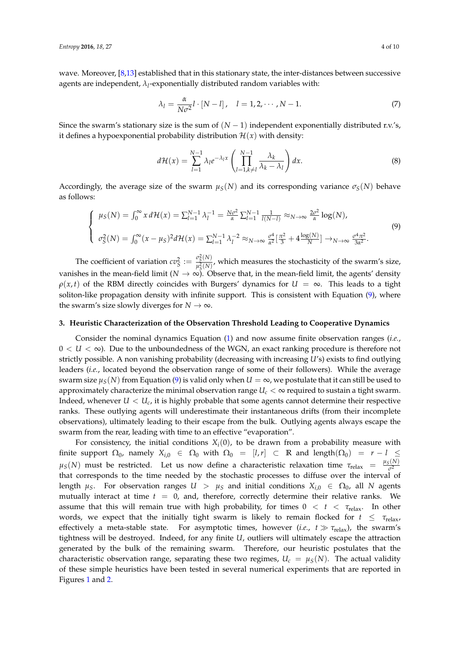wave. Moreover, [\[8,](#page-9-4)[13\]](#page-9-9) established that in this stationary state, the inter-distances between successive agents are independent, *λ<sup>l</sup>* -exponentially distributed random variables with:

$$
\lambda_l = \frac{\alpha}{N\sigma^2}l \cdot [N - l], \quad l = 1, 2, \cdots, N - 1. \tag{7}
$$

Since the swarm's stationary size is the sum of  $(N-1)$  independent exponentially distributed r.v.'s, it defines a hypoexponential probability distribution  $\mathcal{H}(x)$  with density:

$$
d\mathcal{H}(x) = \sum_{l=1}^{N-1} \lambda_l e^{-\lambda_l x} \left( \prod_{l=1, k \neq l}^{N-1} \frac{\lambda_k}{\lambda_k - \lambda_l} \right) dx.
$$
 (8)

Accordingly, the average size of the swarm  $\mu_S(N)$  and its corresponding variance  $\sigma_S(N)$  behave as follows:

<span id="page-3-1"></span>
$$
\begin{cases}\n\mu_S(N) = \int_0^\infty x \, d\mathcal{H}(x) = \sum_{l=1}^{N-1} \lambda_l^{-1} = \frac{N\sigma^2}{\alpha} \sum_{l=1}^{N-1} \frac{1}{l(N-l)} \approx_{N \to \infty} \frac{2\sigma^2}{\alpha} \log(N), \\
\sigma_S^2(N) = \int_0^\infty (x - \mu_S)^2 d\mathcal{H}(x) = \sum_{l=1}^{N-1} \lambda_l^{-2} \approx_{N \to \infty} \frac{\sigma^4}{\alpha^2} [\frac{\pi^2}{3} + 4 \frac{\log(N)}{N}] \to_{N \to \infty} \frac{\sigma^4 \pi^2}{3\alpha^2}.\n\end{cases}\n\tag{9}
$$

The coefficient of variation  $cv_S^2 := \frac{\sigma_S^2(N)}{n_c^2(N)}$  $\frac{\partial S(N)}{\partial S(N)}$ , which measures the stochasticity of the swarm's size, vanishes in the mean-field limit ( $N \to \infty$ ). Observe that, in the mean-field limit, the agents' density  $\rho(x, t)$  of the RBM directly coincides with Burgers' dynamics for  $U = \infty$ . This leads to a tight soliton-like propagation density with infinite support. This is consistent with Equation [\(9\)](#page-3-1), where the swarm's size slowly diverges for  $N \to \infty$ .

#### <span id="page-3-0"></span>**3. Heuristic Characterization of the Observation Threshold Leading to Cooperative Dynamics**

Consider the nominal dynamics Equation [\(1\)](#page-1-1) and now assume finite observation ranges (*i.e.*,  $0 < U < \infty$ ). Due to the unboundedness of the WGN, an exact ranking procedure is therefore not strictly possible. A non vanishing probability (decreasing with increasing *U*'s) exists to find outlying leaders (*i.e.*, located beyond the observation range of some of their followers). While the average swarm size  $\mu_S(N)$  from Equation [\(9\)](#page-3-1) is valid only when  $U = \infty$ , we postulate that it can still be used to approximately characterize the minimal observation range  $U_c < \infty$  required to sustain a tight swarm. Indeed, whenever  $U < U_c$ , it is highly probable that some agents cannot determine their respective ranks. These outlying agents will underestimate their instantaneous drifts (from their incomplete observations), ultimately leading to their escape from the bulk. Outlying agents always escape the swarm from the rear, leading with time to an effective "evaporation".

For consistency, the initial conditions  $X_i(0)$ , to be drawn from a probability measure with finite support  $\Omega_0$ , namely  $X_{i,0} \in \Omega_0$  with  $\Omega_0 = [l,r] \subset \mathbb{R}$  and length $(\Omega_0) = r - l \leq$  $\mu_S(N)$  must be restricted. Let us now define a characteristic relaxation time  $\tau_{relax} = \frac{\mu_S(N)}{\sigma^2}$ *σ* 2 that corresponds to the time needed by the stochastic processes to diffuse over the interval of length  $\mu_S$ . For observation ranges  $U > \mu_S$  and initial conditions  $X_{i,0} \in \Omega_0$ , all *N* agents mutually interact at time  $t = 0$ , and, therefore, correctly determine their relative ranks. We assume that this will remain true with high probability, for times  $0 < t < \tau_{\text{relax}}$ . In other words, we expect that the initially tight swarm is likely to remain flocked for  $t \leq \tau_{\text{relax}}$ , effectively a meta-stable state. For asymptotic times, however (*i.e.*,  $t \gg \tau_{relax}$ ), the swarm's tightness will be destroyed. Indeed, for any finite *U*, outliers will ultimately escape the attraction generated by the bulk of the remaining swarm. Therefore, our heuristic postulates that the characteristic observation range, separating these two regimes,  $U_c = \mu_S(N)$ . The actual validity of these simple heuristics have been tested in several numerical experiments that are reported in Figures [1](#page-4-1) and [2.](#page-4-2)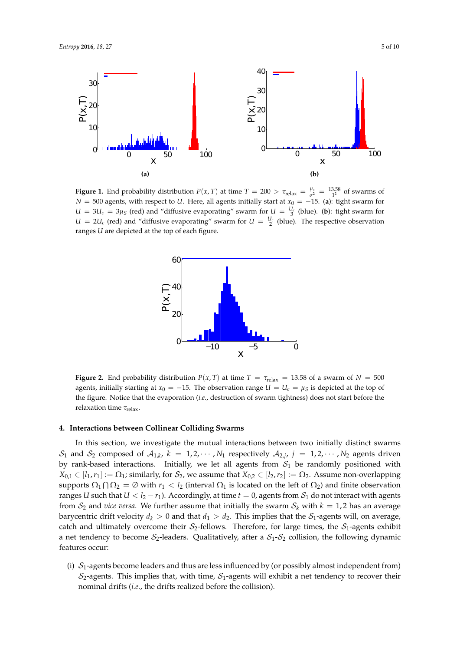<span id="page-4-1"></span>

<span id="page-4-2"></span>**Figure 1.** End probability distribution  $P(x, T)$  at time  $T = 200 > \tau_{relax} = \frac{\mu_s}{\sigma^2}$  $\frac{\mu_s}{\sigma^2} = \frac{13.58}{1^2}$  of swarms of *N* = 500 agents, with respect to *U*. Here, all agents initially start at *x*<sup>0</sup> = −15. (a): tight swarm for  $U = 3U_c = 3\mu_S$  (red) and "diffusive evaporating" swarm for  $U = \frac{U_c}{3}$  (blue). (**b**): tight swarm for  $U = 2U_c$  (red) and "diffusive evaporating" swarm for  $U = \frac{U_c}{2}$  (blue). The respective observation ranges *U* are depicted at the top of each figure.



**Figure 2.** End probability distribution  $P(x, T)$  at time  $T = \tau_{relax} = 13.58$  of a swarm of  $N = 500$ agents, initially starting at  $x_0 = -15$ . The observation range  $U = U_c = \mu_S$  is depicted at the top of the figure. Notice that the evaporation (*i.e.*, destruction of swarm tightness) does not start before the relaxation time *τ*relax.

#### <span id="page-4-0"></span>**4. Interactions between Collinear Colliding Swarms**

In this section, we investigate the mutual interactions between two initially distinct swarms  $S_1$  and  $S_2$  composed of  $A_{1,k}$ ,  $k = 1, 2, \cdots, N_1$  respectively  $A_{2,j}$ ,  $j = 1, 2, \cdots, N_2$  agents driven by rank-based interactions. Initially, we let all agents from  $S_1$  be randomly positioned with  $X_{0,1} \in [l_1,r_1] := \Omega_1$ ; similarly, for  $S_2$ , we assume that  $X_{0,2} \in [l_2,r_2] := \Omega_2$ . Assume non-overlapping supports  $\Omega_1 \cap \Omega_2 = \emptyset$  with  $r_1 < l_2$  (interval  $\Omega_1$  is located on the left of  $\Omega_2$ ) and finite observation ranges *U* such that  $U < l_2 - r_1$ ). Accordingly, at time  $t = 0$ , agents from  $S_1$  do not interact with agents from  $S_2$  and *vice versa*. We further assume that initially the swarm  $S_k$  with  $k = 1, 2$  has an average barycentric drift velocity  $d_k > 0$  and that  $d_1 > d_2$ . This implies that the  $S_1$ -agents will, on average, catch and ultimately overcome their  $S_2$ -fellows. Therefore, for large times, the  $S_1$ -agents exhibit a net tendency to become  $S_2$ -leaders. Qualitatively, after a  $S_1$ - $S_2$  collision, the following dynamic features occur:

(i)  $S_1$ -agents become leaders and thus are less influenced by (or possibly almost independent from)  $S_2$ -agents. This implies that, with time,  $S_1$ -agents will exhibit a net tendency to recover their nominal drifts (*i.e.*, the drifts realized before the collision).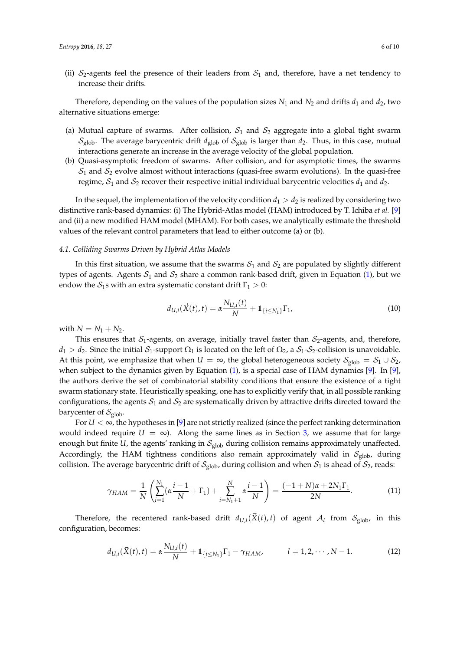(ii)  $S_2$ -agents feel the presence of their leaders from  $S_1$  and, therefore, have a net tendency to increase their drifts.

Therefore, depending on the values of the population sizes  $N_1$  and  $N_2$  and drifts  $d_1$  and  $d_2$ , two alternative situations emerge:

- (a) Mutual capture of swarms. After collision,  $S_1$  and  $S_2$  aggregate into a global tight swarm  $S_{\text{glob}}$ . The average barycentric drift  $d_{\text{glob}}$  of  $S_{\text{glob}}$  is larger than  $d_2$ . Thus, in this case, mutual interactions generate an increase in the average velocity of the global population.
- (b) Quasi-asymptotic freedom of swarms. After collision, and for asymptotic times, the swarms  $S_1$  and  $S_2$  evolve almost without interactions (quasi-free swarm evolutions). In the quasi-free regime,  $S_1$  and  $S_2$  recover their respective initial individual barycentric velocities  $d_1$  and  $d_2$ .

In the sequel, the implementation of the velocity condition  $d_1 > d_2$  is realized by considering two distinctive rank-based dynamics: (i) The Hybrid-Atlas model (HAM) introduced by T. Ichiba *et al.* [\[9\]](#page-9-5) and (ii) a new modified HAM model (MHAM). For both cases, we analytically estimate the threshold values of the relevant control parameters that lead to either outcome (a) or (b).

#### *4.1. Colliding Swarms Driven by Hybrid Atlas Models*

In this first situation, we assume that the swarms  $S_1$  and  $S_2$  are populated by slightly different types of agents. Agents  $S_1$  and  $S_2$  share a common rank-based drift, given in Equation [\(1\)](#page-1-1), but we endow the  $S_1$ s with an extra systematic constant drift  $\Gamma_1 > 0$ :

<span id="page-5-0"></span>
$$
d_{U,i}(\vec{X}(t),t) = \alpha \frac{N_{U,i}(t)}{N} + \mathbb{1}_{\{i \le N_1\}} \Gamma_1, \tag{10}
$$

with  $N = N_1 + N_2$ .

This ensures that  $S_1$ -agents, on average, initially travel faster than  $S_2$ -agents, and, therefore,  $d_1 > d_2$ . Since the initial  $S_1$ -support  $\Omega_1$  is located on the left of  $\Omega_2$ , a  $S_1$ - $S_2$ -collision is unavoidable. At this point, we emphasize that when  $U = \infty$ , the global heterogeneous society  $S_{\text{glob}} = S_1 \cup S_2$ , when subject to the dynamics given by Equation [\(1\)](#page-1-1), is a special case of HAM dynamics [\[9\]](#page-9-5). In [\[9\]](#page-9-5), the authors derive the set of combinatorial stability conditions that ensure the existence of a tight swarm stationary state. Heuristically speaking, one has to explicitly verify that, in all possible ranking configurations, the agents  $S_1$  and  $S_2$  are systematically driven by attractive drifts directed toward the barycenter of  $\mathcal{S}_{\text{glob}}$ .

For  $U < \infty$ , the hypotheses in [\[9\]](#page-9-5) are not strictly realized (since the perfect ranking determination would indeed require  $U = \infty$ ). Along the same lines as in Section [3,](#page-3-0) we assume that for large enough but finite *U*, the agents' ranking in  $S_{\text{elob}}$  during collision remains approximately unaffected. Accordingly, the HAM tightness conditions also remain approximately valid in  $S_{\text{glob}}$ , during collision. The average barycentric drift of  $\mathcal{S}_{\text{glob}}$ , during collision and when  $\mathcal{S}_1$  is ahead of  $\mathcal{S}_2$ , reads:

$$
\gamma_{HAM} = \frac{1}{N} \left( \sum_{i=1}^{N_1} (\alpha \frac{i-1}{N} + \Gamma_1) + \sum_{i=N_1+1}^{N} \alpha \frac{i-1}{N} \right) = \frac{(-1+N)\alpha + 2N_1\Gamma_1}{2N}.
$$
 (11)

Therefore, the recentered rank-based drift  $d_{U,l}(\vec{X}(t), t)$  of agent  $A_l$  from  $S_{\text{glob}}$ , in this configuration, becomes:

$$
d_{U,i}(\vec{X}(t),t) = \alpha \frac{N_{U,i}(t)}{N} + \mathbb{1}_{\{i \le N_1\}} \Gamma_1 - \gamma_{HAM}, \qquad l = 1,2,\cdots,N-1.
$$
 (12)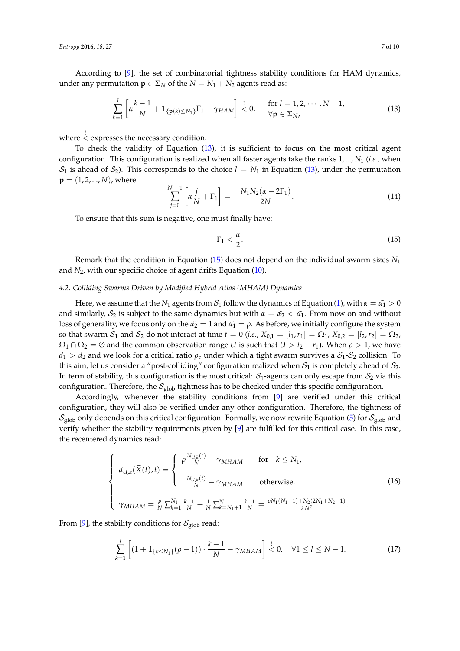According to [\[9\]](#page-9-5), the set of combinatorial tightness stability conditions for HAM dynamics, under any permutation  $\mathbf{p} \in \Sigma_N$  of the  $N = N_1 + N_2$  agents read as:

<span id="page-6-0"></span>
$$
\sum_{k=1}^{l} \left[ \alpha \frac{k-1}{N} + \mathbb{1}_{\{p(k) \leq N_1\}} \Gamma_1 - \gamma_{HAM} \right] \stackrel{!}{\leq} 0, \quad \text{for } l = 1, 2, \cdots, N-1,
$$
\n(13)

where ! < expresses the necessary condition.

To check the validity of Equation [\(13\)](#page-6-0), it is sufficient to focus on the most critical agent configuration. This configuration is realized when all faster agents take the ranks 1, ..., *N*<sup>1</sup> (*i.e.*, when  $S_1$  is ahead of  $S_2$ ). This corresponds to the choice  $l = N_1$  in Equation [\(13\)](#page-6-0), under the permutation  $p = (1, 2, ..., N)$ , where:

$$
\sum_{j=0}^{N_1-1} \left[ \alpha \frac{j}{N} + \Gamma_1 \right] = -\frac{N_1 N_2 (\alpha - 2\Gamma_1)}{2N}.
$$
 (14)

To ensure that this sum is negative, one must finally have:

<span id="page-6-1"></span>
$$
\Gamma_1 < \frac{\alpha}{2}.\tag{15}
$$

Remark that the condition in Equation [\(15\)](#page-6-1) does not depend on the individual swarm sizes *N*<sup>1</sup> and *N*2, with our specific choice of agent drifts Equation [\(10\)](#page-5-0).

## *4.2. Colliding Swarms Driven by Modified Hybrid Atlas (MHAM) Dynamics*

Here, we assume that the  $N_1$  agents from  $S_1$  follow the dynamics of Equation [\(1\)](#page-1-1), with  $\alpha = \alpha_1 > 0$ and similarly,  $S_2$  is subject to the same dynamics but with  $\alpha = \alpha_2 < \alpha_1$ . From now on and without loss of generality, we focus only on the  $\tilde{\alpha_2} = 1$  and  $\tilde{\alpha_1} = \rho$ . As before, we initially configure the system so that swarm  $S_1$  and  $S_2$  do not interact at time  $t = 0$  (*i.e.*,  $X_{0,1} = [l_1, r_1] = \Omega_1$ ,  $X_{0,2} = [l_2, r_2] = \Omega_2$ ,  $\Omega_1 \cap \Omega_2 = \emptyset$  and the common observation range *U* is such that  $U > l_2 - r_1$ ). When  $\rho > 1$ , we have  $d_1 > d_2$  and we look for a critical ratio  $\rho_c$  under which a tight swarm survives a  $S_1$ - $S_2$  collision. To this aim, let us consider a "post-colliding" configuration realized when  $S_1$  is completely ahead of  $S_2$ . In term of stability, this configuration is the most critical:  $S_1$ -agents can only escape from  $S_2$  via this configuration. Therefore, the  $S_{\text{glob}}$  tightness has to be checked under this specific configuration.

Accordingly, whenever the stability conditions from [\[9\]](#page-9-5) are verified under this critical configuration, they will also be verified under any other configuration. Therefore, the tightness of  $S_{\text{glob}}$  only depends on this critical configuration. Formally, we now rewrite Equation [\(5\)](#page-2-1) for  $S_{\text{glob}}$  and verify whether the stability requirements given by [\[9\]](#page-9-5) are fulfilled for this critical case. In this case, the recentered dynamics read:

$$
\begin{cases}\n d_{U,k}(\vec{X}(t),t) = \begin{cases}\n \rho \frac{N_{U,k}(t)}{N} - \gamma_{MHAM} & \text{for } k \le N_1, \\
 \frac{N_{U,k}(t)}{N} - \gamma_{MHAM} & \text{otherwise.} \\
 \gamma_{MHAM} = \frac{\rho}{N} \sum_{k=1}^{N_1} \frac{k-1}{N} + \frac{1}{N} \sum_{k=N_1+1}^{N} \frac{k-1}{N} = \frac{\rho N_1(N_1-1) + N_2(2N_1+N_2-1)}{2N^2}.\n \end{cases}\n \tag{16}
$$

From [\[9\]](#page-9-5), the stability conditions for  $\mathcal{S}_{\text{glob}}$  read:

$$
\sum_{k=1}^{l} \left[ (1 + 1_{\{k \le N_1\}} (\rho - 1)) \cdot \frac{k-1}{N} - \gamma_{MHAM} \right] \stackrel{!}{\le} 0, \quad \forall 1 \le l \le N-1.
$$
 (17)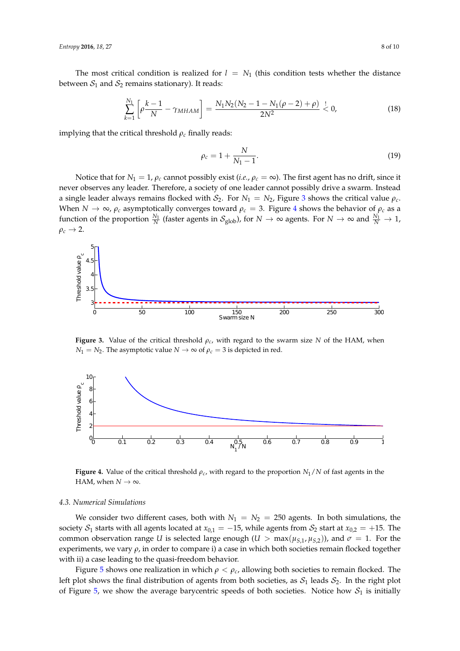The most critical condition is realized for  $l = N_1$  (this condition tests whether the distance between  $S_1$  and  $S_2$  remains stationary). It reads:

$$
\sum_{k=1}^{N_1} \left[ \rho \frac{k-1}{N} - \gamma_{MHAM} \right] = \frac{N_1 N_2 (N_2 - 1 - N_1 (\rho - 2) + \rho)}{2N^2} < 0,\tag{18}
$$

implying that the critical threshold  $\rho_c$  finally reads:

$$
\rho_c = 1 + \frac{N}{N_1 - 1}.\tag{19}
$$

Notice that for  $N_1 = 1$ ,  $\rho_c$  cannot possibly exist (*i.e.*,  $\rho_c = \infty$ ). The first agent has no drift, since it never observes any leader. Therefore, a society of one leader cannot possibly drive a swarm. Instead a single leader always remains flocked with  $S_2$ . For  $N_1 = N_2$ , Figure [3](#page-7-0) shows the critical value  $\rho_c$ . When  $N \to \infty$ ,  $\rho_c$  asymptotically converges toward  $\rho_c = 3$ . Figure [4](#page-7-1) shows the behavior of  $\rho_c$  as a function of the proportion  $\frac{N_1}{N}$  (faster agents in  $\mathcal{S}_{\text{glob}}$ ), for  $N \to \infty$  agents. For  $N \to \infty$  and  $\frac{N_1}{N} \to 1$ ,  $\rho_c \rightarrow 2$ .

<span id="page-7-0"></span>

**Figure 3.** Value of the critical threshold  $\rho_c$ , with regard to the swarm size *N* of the HAM, when *N*<sub>1</sub> = *N*<sub>2</sub>. The asymptotic value *N*  $\rightarrow \infty$  of  $\rho_c = 3$  is depicted in red.

<span id="page-7-1"></span>

**Figure 4.** Value of the critical threshold *ρc*, with regard to the proportion *N*1/*N* of fast agents in the HAM, when  $N \to \infty$ .

#### *4.3. Numerical Simulations*

We consider two different cases, both with  $N_1 = N_2 = 250$  agents. In both simulations, the society  $S_1$  starts with all agents located at  $x_{0,1} = -15$ , while agents from  $S_2$  start at  $x_{0,2} = +15$ . The common observation range *U* is selected large enough  $(U > max(\mu_{S,1}, \mu_{S,2}))$ , and  $\sigma = 1$ . For the experiments, we vary *ρ*, in order to compare i) a case in which both societies remain flocked together with ii) a case leading to the quasi-freedom behavior.

Figure [5](#page-8-1) shows one realization in which  $\rho < \rho_c$ , allowing both societies to remain flocked. The left plot shows the final distribution of agents from both societies, as  $S_1$  leads  $S_2$ . In the right plot of Figure [5,](#page-8-1) we show the average barycentric speeds of both societies. Notice how  $S_1$  is initially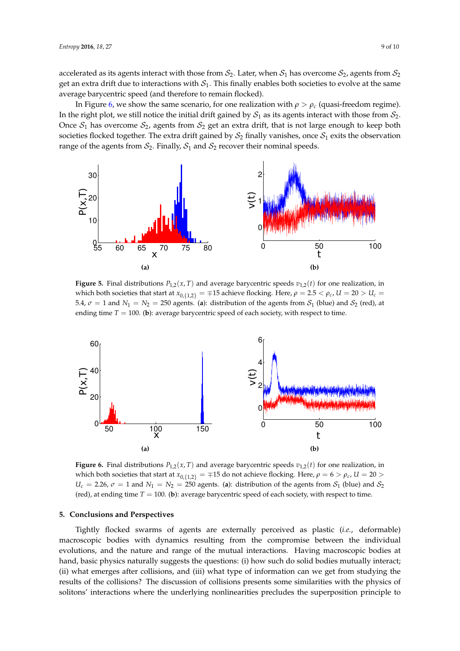accelerated as its agents interact with those from  $S_2$ . Later, when  $S_1$  has overcome  $S_2$ , agents from  $S_2$ get an extra drift due to interactions with  $S_1$ . This finally enables both societies to evolve at the same average barycentric speed (and therefore to remain flocked).

In Figure [6,](#page-8-2) we show the same scenario, for one realization with  $ρ > ρ<sub>c</sub>$  (quasi-freedom regime). In the right plot, we still notice the initial drift gained by  $S_1$  as its agents interact with those from  $S_2$ . Once  $S_1$  has overcome  $S_2$ , agents from  $S_2$  get an extra drift, that is not large enough to keep both societies flocked together. The extra drift gained by  $S_2$  finally vanishes, once  $S_1$  exits the observation range of the agents from  $S_2$ . Finally,  $S_1$  and  $S_2$  recover their nominal speeds.

<span id="page-8-1"></span>

**Figure 5.** Final distributions  $P_{1,2}(x,T)$  and average barycentric speeds  $v_{1,2}(t)$  for one realization, in which both societies that start at  $x_{0,1,2}$  =  $\mp$ 15 achieve flocking. Here,  $\rho = 2.5 < \rho_c$ ,  $U = 20 > U_c$ 5.4,  $\sigma = 1$  and  $N_1 = N_2 = 250$  agents. (a): distribution of the agents from  $S_1$  (blue) and  $S_2$  (red), at ending time  $T = 100$ . (b): average barycentric speed of each society, with respect to time.

<span id="page-8-2"></span>

**Figure 6.** Final distributions  $P_{1,2}(x,T)$  and average barycentric speeds  $v_{1,2}(t)$  for one realization, in which both societies that start at  $x_{0,1,2}$  =  $\mp$ 15 do not achieve flocking. Here,  $\rho = 6 > \rho_c$ ,  $U = 20 >$  $U_c = 2.26$ ,  $\sigma = 1$  and  $N_1 = N_2 = 250$  agents. (a): distribution of the agents from  $S_1$  (blue) and  $S_2$ (red), at ending time  $T = 100$ . (b): average barycentric speed of each society, with respect to time.

#### <span id="page-8-0"></span>**5. Conclusions and Perspectives**

Tightly flocked swarms of agents are externally perceived as plastic (*i.e.*, deformable) macroscopic bodies with dynamics resulting from the compromise between the individual evolutions, and the nature and range of the mutual interactions. Having macroscopic bodies at hand, basic physics naturally suggests the questions: (i) how such do solid bodies mutually interact; (ii) what emerges after collisions, and (iii) what type of information can we get from studying the results of the collisions? The discussion of collisions presents some similarities with the physics of solitons' interactions where the underlying nonlinearities precludes the superposition principle to